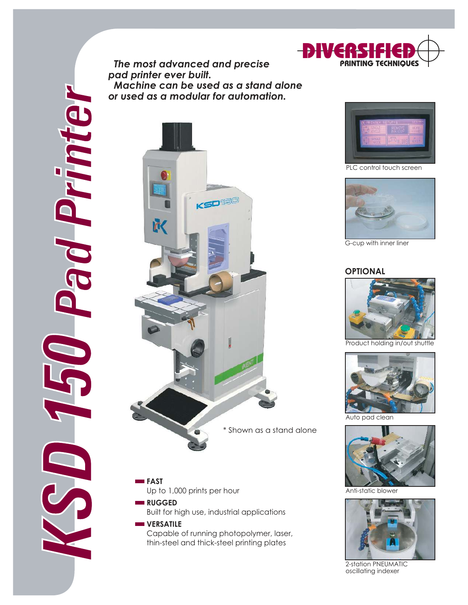

 *The most advanced and precise pad printer ever built. Machine can be used as a stand alone or used as a modular for automation.*





DIVERSIFIED **PRINTING TECHNIQUES**

PLC control touch screen



G-cup with inner liner

#### **OPTIONAL**



Product holding in/out shuttle



Auto pad clean



Anti-static blowe



2-station PNEUMATIC oscillating indexer

### \* Shown as a stand alone

**FAST** Up to 1,000 prints per hour **RUGGED** 

Built for high use, industrial applications

# **WERSATILE**

Capable of running photopolymer, laser, thin-steel and thick-steel printing plates